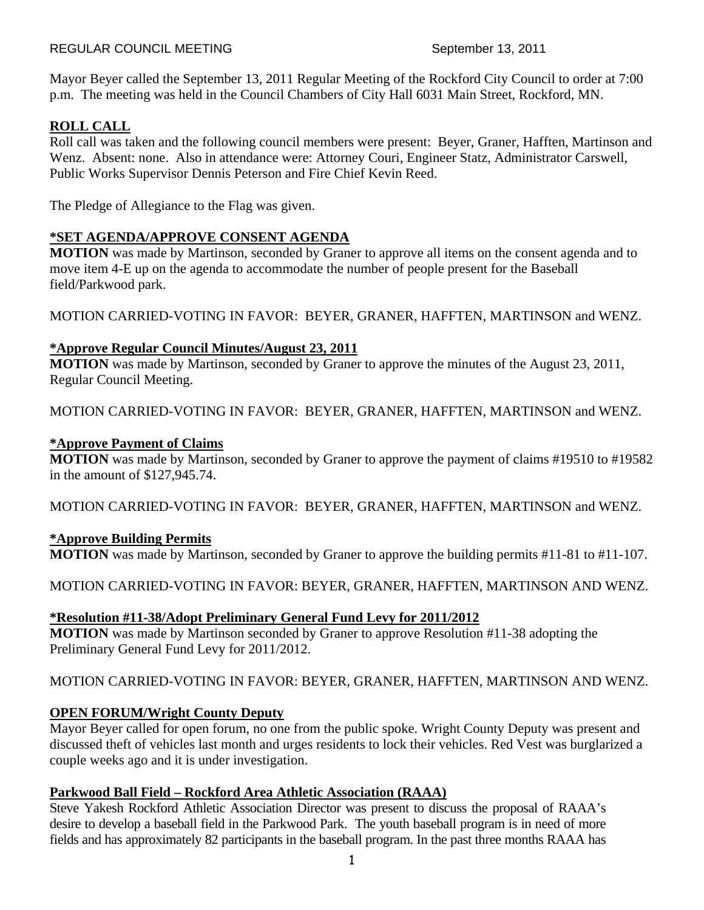Mayor Beyer called the September 13, 2011 Regular Meeting of the Rockford City Council to order at 7:00 p.m. The meeting was held in the Council Chambers of City Hall 6031 Main Street, Rockford, MN.

# **ROLL CALL**

Roll call was taken and the following council members were present: Beyer, Graner, Hafften, Martinson and Wenz. Absent: none. Also in attendance were: Attorney Couri, Engineer Statz, Administrator Carswell, Public Works Supervisor Dennis Peterson and Fire Chief Kevin Reed.

The Pledge of Allegiance to the Flag was given.

# **\*SET AGENDA/APPROVE CONSENT AGENDA**

**MOTION** was made by Martinson, seconded by Graner to approve all items on the consent agenda and to move item 4-E up on the agenda to accommodate the number of people present for the Baseball field/Parkwood park.

MOTION CARRIED-VOTING IN FAVOR: BEYER, GRANER, HAFFTEN, MARTINSON and WENZ.

# **\*Approve Regular Council Minutes/August 23, 2011**

**MOTION** was made by Martinson, seconded by Graner to approve the minutes of the August 23, 2011, Regular Council Meeting.

MOTION CARRIED-VOTING IN FAVOR: BEYER, GRANER, HAFFTEN, MARTINSON and WENZ.

### **\*Approve Payment of Claims**

**MOTION** was made by Martinson, seconded by Graner to approve the payment of claims #19510 to #19582 in the amount of \$127,945.74.

MOTION CARRIED-VOTING IN FAVOR: BEYER, GRANER, HAFFTEN, MARTINSON and WENZ.

# **\*Approve Building Permits**

**MOTION** was made by Martinson, seconded by Graner to approve the building permits #11-81 to #11-107.

MOTION CARRIED-VOTING IN FAVOR: BEYER, GRANER, HAFFTEN, MARTINSON AND WENZ.

# **\*Resolution #11-38/Adopt Preliminary General Fund Levy for 2011/2012**

**MOTION** was made by Martinson seconded by Graner to approve Resolution #11-38 adopting the Preliminary General Fund Levy for 2011/2012.

# MOTION CARRIED-VOTING IN FAVOR: BEYER, GRANER, HAFFTEN, MARTINSON AND WENZ.

# **OPEN FORUM/Wright County Deputy**

Mayor Beyer called for open forum, no one from the public spoke. Wright County Deputy was present and discussed theft of vehicles last month and urges residents to lock their vehicles. Red Vest was burglarized a couple weeks ago and it is under investigation.

# **Parkwood Ball Field – Rockford Area Athletic Association (RAAA)**

Steve Yakesh Rockford Athletic Association Director was present to discuss the proposal of RAAA's desire to develop a baseball field in the Parkwood Park. The youth baseball program is in need of more fields and has approximately 82 participants in the baseball program. In the past three months RAAA has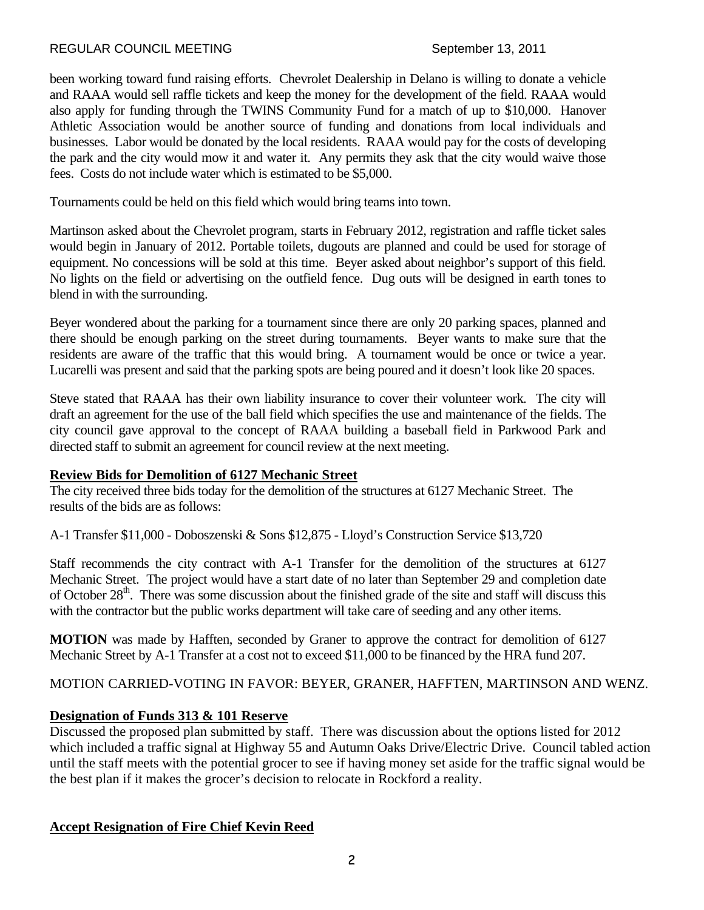been working toward fund raising efforts. Chevrolet Dealership in Delano is willing to donate a vehicle and RAAA would sell raffle tickets and keep the money for the development of the field. RAAA would also apply for funding through the TWINS Community Fund for a match of up to \$10,000. Hanover Athletic Association would be another source of funding and donations from local individuals and businesses. Labor would be donated by the local residents. RAAA would pay for the costs of developing the park and the city would mow it and water it. Any permits they ask that the city would waive those fees. Costs do not include water which is estimated to be \$5,000.

Tournaments could be held on this field which would bring teams into town.

Martinson asked about the Chevrolet program, starts in February 2012, registration and raffle ticket sales would begin in January of 2012. Portable toilets, dugouts are planned and could be used for storage of equipment. No concessions will be sold at this time. Beyer asked about neighbor's support of this field. No lights on the field or advertising on the outfield fence. Dug outs will be designed in earth tones to blend in with the surrounding.

Beyer wondered about the parking for a tournament since there are only 20 parking spaces, planned and there should be enough parking on the street during tournaments. Beyer wants to make sure that the residents are aware of the traffic that this would bring. A tournament would be once or twice a year. Lucarelli was present and said that the parking spots are being poured and it doesn't look like 20 spaces.

Steve stated that RAAA has their own liability insurance to cover their volunteer work. The city will draft an agreement for the use of the ball field which specifies the use and maintenance of the fields. The city council gave approval to the concept of RAAA building a baseball field in Parkwood Park and directed staff to submit an agreement for council review at the next meeting.

# **Review Bids for Demolition of 6127 Mechanic Street**

The city received three bids today for the demolition of the structures at 6127 Mechanic Street. The results of the bids are as follows:

A-1 Transfer \$11,000 - Doboszenski & Sons \$12,875 - Lloyd's Construction Service \$13,720

Staff recommends the city contract with A-1 Transfer for the demolition of the structures at 6127 Mechanic Street. The project would have a start date of no later than September 29 and completion date of October 28<sup>th</sup>. There was some discussion about the finished grade of the site and staff will discuss this with the contractor but the public works department will take care of seeding and any other items.

**MOTION** was made by Hafften, seconded by Graner to approve the contract for demolition of 6127 Mechanic Street by A-1 Transfer at a cost not to exceed \$11,000 to be financed by the HRA fund 207.

MOTION CARRIED-VOTING IN FAVOR: BEYER, GRANER, HAFFTEN, MARTINSON AND WENZ.

# **Designation of Funds 313 & 101 Reserve**

Discussed the proposed plan submitted by staff. There was discussion about the options listed for 2012 which included a traffic signal at Highway 55 and Autumn Oaks Drive/Electric Drive. Council tabled action until the staff meets with the potential grocer to see if having money set aside for the traffic signal would be the best plan if it makes the grocer's decision to relocate in Rockford a reality.

### **Accept Resignation of Fire Chief Kevin Reed**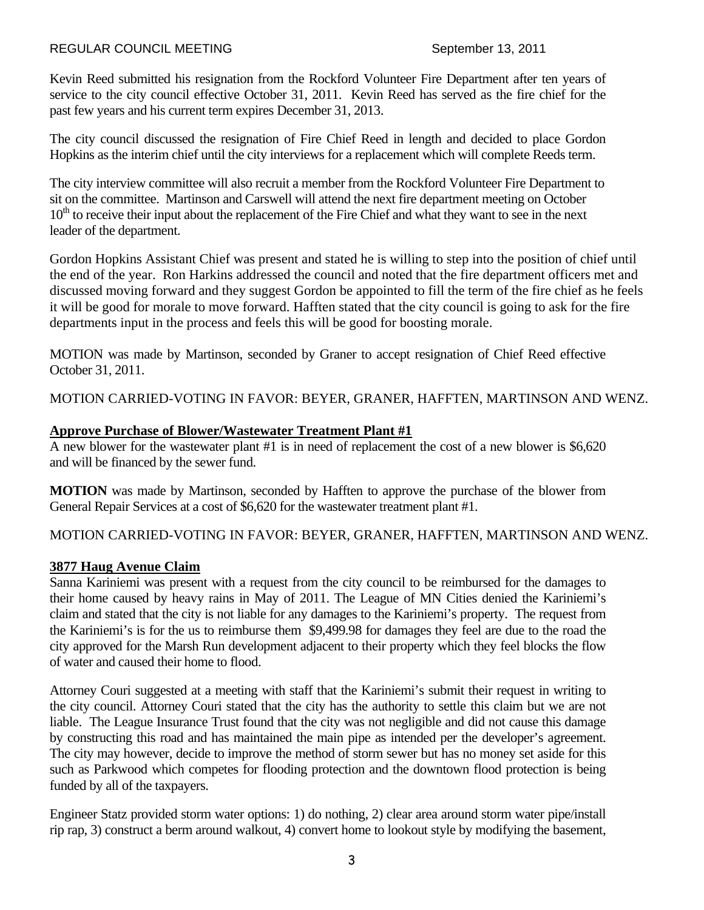Kevin Reed submitted his resignation from the Rockford Volunteer Fire Department after ten years of service to the city council effective October 31, 2011. Kevin Reed has served as the fire chief for the past few years and his current term expires December 31, 2013.

The city council discussed the resignation of Fire Chief Reed in length and decided to place Gordon Hopkins as the interim chief until the city interviews for a replacement which will complete Reeds term.

The city interview committee will also recruit a member from the Rockford Volunteer Fire Department to sit on the committee. Martinson and Carswell will attend the next fire department meeting on October  $10<sup>th</sup>$  to receive their input about the replacement of the Fire Chief and what they want to see in the next leader of the department.

Gordon Hopkins Assistant Chief was present and stated he is willing to step into the position of chief until the end of the year. Ron Harkins addressed the council and noted that the fire department officers met and discussed moving forward and they suggest Gordon be appointed to fill the term of the fire chief as he feels it will be good for morale to move forward. Hafften stated that the city council is going to ask for the fire departments input in the process and feels this will be good for boosting morale.

MOTION was made by Martinson, seconded by Graner to accept resignation of Chief Reed effective October 31, 2011.

MOTION CARRIED-VOTING IN FAVOR: BEYER, GRANER, HAFFTEN, MARTINSON AND WENZ.

### **Approve Purchase of Blower/Wastewater Treatment Plant #1**

A new blower for the wastewater plant #1 is in need of replacement the cost of a new blower is \$6,620 and will be financed by the sewer fund.

**MOTION** was made by Martinson, seconded by Hafften to approve the purchase of the blower from General Repair Services at a cost of \$6,620 for the wastewater treatment plant #1.

MOTION CARRIED-VOTING IN FAVOR: BEYER, GRANER, HAFFTEN, MARTINSON AND WENZ.

### **3877 Haug Avenue Claim**

Sanna Kariniemi was present with a request from the city council to be reimbursed for the damages to their home caused by heavy rains in May of 2011. The League of MN Cities denied the Kariniemi's claim and stated that the city is not liable for any damages to the Kariniemi's property. The request from the Kariniemi's is for the us to reimburse them \$9,499.98 for damages they feel are due to the road the city approved for the Marsh Run development adjacent to their property which they feel blocks the flow of water and caused their home to flood.

Attorney Couri suggested at a meeting with staff that the Kariniemi's submit their request in writing to the city council. Attorney Couri stated that the city has the authority to settle this claim but we are not liable. The League Insurance Trust found that the city was not negligible and did not cause this damage by constructing this road and has maintained the main pipe as intended per the developer's agreement. The city may however, decide to improve the method of storm sewer but has no money set aside for this such as Parkwood which competes for flooding protection and the downtown flood protection is being funded by all of the taxpayers.

Engineer Statz provided storm water options: 1) do nothing, 2) clear area around storm water pipe/install rip rap, 3) construct a berm around walkout, 4) convert home to lookout style by modifying the basement,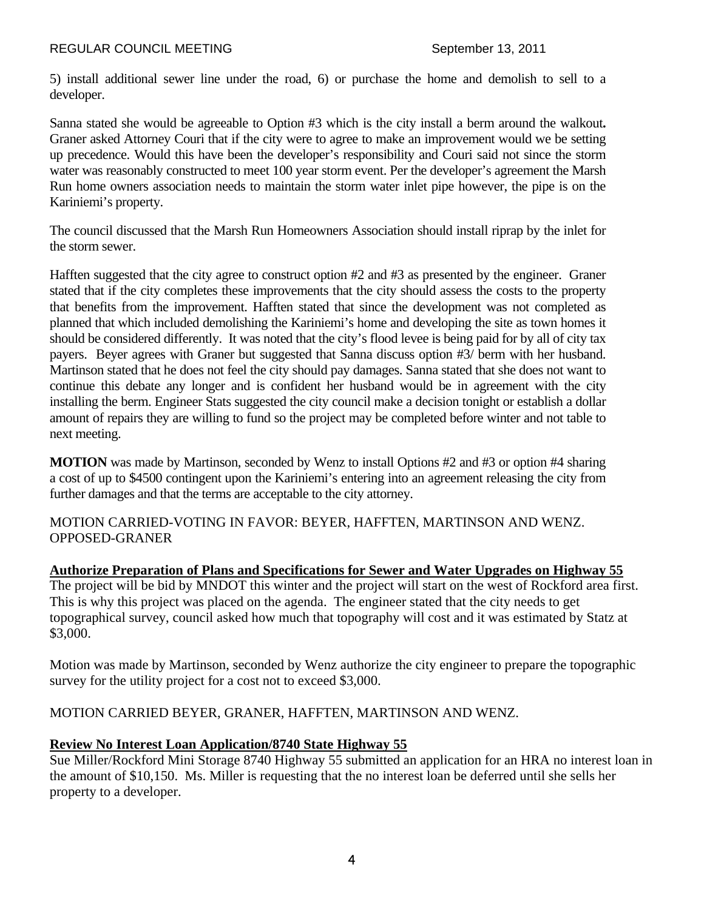5) install additional sewer line under the road, 6) or purchase the home and demolish to sell to a developer.

Sanna stated she would be agreeable to Option #3 which is the city install a berm around the walkout**.**  Graner asked Attorney Couri that if the city were to agree to make an improvement would we be setting up precedence. Would this have been the developer's responsibility and Couri said not since the storm water was reasonably constructed to meet 100 year storm event. Per the developer's agreement the Marsh Run home owners association needs to maintain the storm water inlet pipe however, the pipe is on the Kariniemi's property.

The council discussed that the Marsh Run Homeowners Association should install riprap by the inlet for the storm sewer.

Hafften suggested that the city agree to construct option #2 and #3 as presented by the engineer. Graner stated that if the city completes these improvements that the city should assess the costs to the property that benefits from the improvement. Hafften stated that since the development was not completed as planned that which included demolishing the Kariniemi's home and developing the site as town homes it should be considered differently. It was noted that the city's flood levee is being paid for by all of city tax payers. Beyer agrees with Graner but suggested that Sanna discuss option #3/ berm with her husband. Martinson stated that he does not feel the city should pay damages. Sanna stated that she does not want to continue this debate any longer and is confident her husband would be in agreement with the city installing the berm. Engineer Stats suggested the city council make a decision tonight or establish a dollar amount of repairs they are willing to fund so the project may be completed before winter and not table to next meeting.

**MOTION** was made by Martinson, seconded by Wenz to install Options #2 and #3 or option #4 sharing a cost of up to \$4500 contingent upon the Kariniemi's entering into an agreement releasing the city from further damages and that the terms are acceptable to the city attorney.

MOTION CARRIED-VOTING IN FAVOR: BEYER, HAFFTEN, MARTINSON AND WENZ. OPPOSED-GRANER

**Authorize Preparation of Plans and Specifications for Sewer and Water Upgrades on Highway 55** The project will be bid by MNDOT this winter and the project will start on the west of Rockford area first. This is why this project was placed on the agenda. The engineer stated that the city needs to get topographical survey, council asked how much that topography will cost and it was estimated by Statz at \$3,000.

Motion was made by Martinson, seconded by Wenz authorize the city engineer to prepare the topographic survey for the utility project for a cost not to exceed \$3,000.

MOTION CARRIED BEYER, GRANER, HAFFTEN, MARTINSON AND WENZ.

### **Review No Interest Loan Application/8740 State Highway 55**

Sue Miller/Rockford Mini Storage 8740 Highway 55 submitted an application for an HRA no interest loan in the amount of \$10,150. Ms. Miller is requesting that the no interest loan be deferred until she sells her property to a developer.